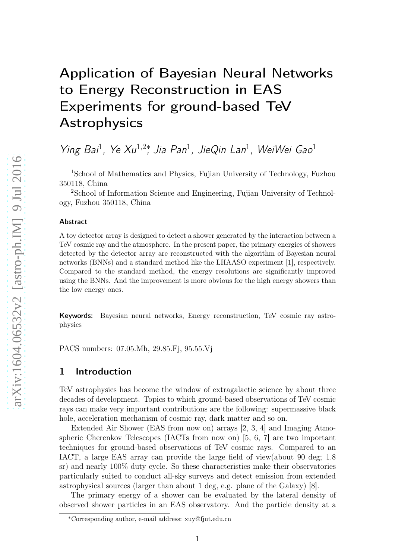# Application of Bayesian Neural Networks to Energy Reconstruction in EAS Experiments for ground-based TeV Astrophysics

Ying Bai<sup>1</sup>, Ye Xu<sup>1,2</sup><sup>\*</sup>, Jia Pan<sup>1</sup>, JieQin Lan<sup>1</sup>, WeiWei Gao<sup>1</sup>

<sup>1</sup>School of Mathematics and Physics, Fujian University of Technology, Fuzhou 350118, China

<sup>2</sup>School of Information Science and Engineering, Fujian University of Technology, Fuzhou 350118, China

#### Abstract

A toy detector array is designed to detect a shower generated by the interaction between a TeV cosmic ray and the atmosphere. In the present paper, the primary energies of showers detected by the detector array are reconstructed with the algorithm of Bayesian neural networks (BNNs) and a standard method like the LHAASO experiment [1], respectively. Compared to the standard method, the energy resolutions are significantly improved using the BNNs. And the improvement is more obvious for the high energy showers than the low energy ones.

Keywords: Bayesian neural networks, Energy reconstruction, TeV cosmic ray astrophysics

PACS numbers: 07.05.Mh, 29.85.Fj, 95.55.Vj

### 1 Introduction

TeV astrophysics has become the window of extragalactic science by about three decades of development. Topics to which ground-based observations of TeV cosmic rays can make very important contributions are the following: supermassive black hole, acceleration mechanism of cosmic ray, dark matter and so on.

Extended Air Shower (EAS from now on) arrays [2, 3, 4] and Imaging Atmospheric Cherenkov Telescopes (IACTs from now on) [5, 6, 7] are two important techniques for ground-based observations of TeV cosmic rays. Compared to an IACT, a large EAS array can provide the large field of view(about 90 deg; 1.8 sr) and nearly 100% duty cycle. So these characteristics make their observatories particularly suited to conduct all-sky surveys and detect emission from extended astrophysical sources (larger than about 1 deg, e.g. plane of the Galaxy) [8].

The primary energy of a shower can be evaluated by the lateral density of observed shower particles in an EAS observatory. And the particle density at a

<sup>∗</sup>Corresponding author, e-mail address: xuy@fjut.edu.cn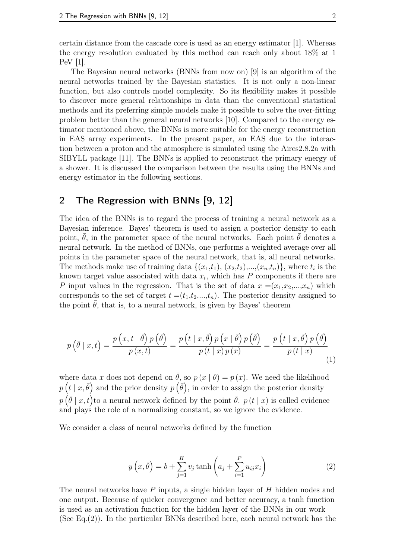certain distance from the cascade core is used as an energy estimator [1]. Whereas the energy resolution evaluated by this method can reach only about 18% at 1 PeV [1].

The Bayesian neural networks (BNNs from now on) [9] is an algorithm of the neural networks trained by the Bayesian statistics. It is not only a non-linear function, but also controls model complexity. So its flexibility makes it possible to discover more general relationships in data than the conventional statistical methods and its preferring simple models make it possible to solve the over-fitting problem better than the general neural networks [10]. Compared to the energy estimator mentioned above, the BNNs is more suitable for the energy reconstruction in EAS array experiments. In the present paper, an EAS due to the interaction between a proton and the atmosphere is simulated using the Aires2.8.2a with SIBYLL package [11]. The BNNs is applied to reconstruct the primary energy of a shower. It is discussed the comparison between the results using the BNNs and energy estimator in the following sections.

#### 2 The Regression with BNNs [9, 12]

The idea of the BNNs is to regard the process of training a neural network as a Bayesian inference. Bayes' theorem is used to assign a posterior density to each point,  $\hat{\theta}$ , in the parameter space of the neural networks. Each point  $\hat{\theta}$  denotes a neural network. In the method of BNNs, one performs a weighted average over all points in the parameter space of the neural network, that is, all neural networks. The methods make use of training data  $\{(x_1,t_1), (x_2,t_2),..., (x_n,t_n)\}$ , where  $t_i$  is the known target value associated with data  $x_i$ , which has P components if there are P input values in the regression. That is the set of data  $x = (x_1, x_2, ..., x_n)$  which corresponds to the set of target  $t = (t_1, t_2, \ldots, t_n)$ . The posterior density assigned to the point  $\theta$ , that is, to a neural network, is given by Bayes' theorem

$$
p\left(\bar{\theta}\mid x,t\right) = \frac{p\left(x,t\mid \bar{\theta}\right)p\left(\bar{\theta}\right)}{p\left(x,t\right)} = \frac{p\left(t\mid x,\bar{\theta}\right)p\left(x\mid \bar{\theta}\right)p\left(\bar{\theta}\right)}{p\left(t\mid x\right)p\left(x\right)} = \frac{p\left(t\mid x,\bar{\theta}\right)p\left(\bar{\theta}\right)}{p\left(t\mid x\right)}\tag{1}
$$

where data x does not depend on  $\bar{\theta}$ , so  $p(x | \theta) = p(x)$ . We need the likelihood  $p\left(t \mid x, \bar{\theta}\right)$  and the prior density  $p\left(\bar{\theta}\right)$ , in order to assign the posterior density  $p(\bar{\theta} \mid x, t)$  to a neural network defined by the point  $\bar{\theta}$ .  $p(t \mid x)$  is called evidence and plays the role of a normalizing constant, so we ignore the evidence.

We consider a class of neural networks defined by the function

$$
y\left(x,\bar{\theta}\right) = b + \sum_{j=1}^{H} v_j \tanh\left(a_j + \sum_{i=1}^{P} u_{ij} x_i\right) \tag{2}
$$

The neural networks have P inputs, a single hidden layer of H hidden nodes and one output. Because of quicker convergence and better accuracy, a tanh function is used as an activation function for the hidden layer of the BNNs in our work (See Eq.(2)). In the particular BNNs described here, each neural network has the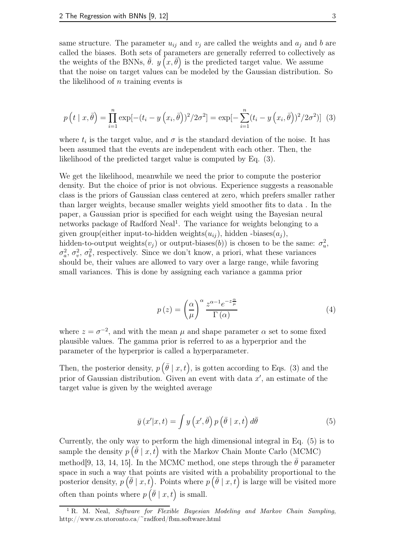same structure. The parameter  $u_{ij}$  and  $v_j$  are called the weights and  $a_j$  and b are called the biases. Both sets of parameters are generally referred to collectively as the weights of the BNNs,  $\bar{\theta}$ .  $y(x, \bar{\theta})$  is the predicted target value. We assume that the noise on target values can be modeled by the Gaussian distribution. So the likelihood of  $n$  training events is

$$
p(t | x, \bar{\theta}) = \prod_{i=1}^{n} \exp[-(t_i - y(x_i, \bar{\theta}))^2 / 2\sigma^2] = \exp[-\sum_{i=1}^{n} (t_i - y(x_i, \bar{\theta}))^2 / 2\sigma^2] \tag{3}
$$

where  $t_i$  is the target value, and  $\sigma$  is the standard deviation of the noise. It has been assumed that the events are independent with each other. Then, the likelihood of the predicted target value is computed by Eq. (3).

We get the likelihood, meanwhile we need the prior to compute the posterior density. But the choice of prior is not obvious. Experience suggests a reasonable class is the priors of Gaussian class centered at zero, which prefers smaller rather than larger weights, because smaller weights yield smoother fits to data . In the paper, a Gaussian prior is specified for each weight using the Bayesian neural networks package of Radford Neal<sup>1</sup>. The variance for weights belonging to a given group(either input-to-hidden weights $(u_{ij})$ , hidden -biases $(a_j)$ , hidden-to-output weights $(v_j)$  or output-biases $(b)$ ) is chosen to be the same:  $\sigma_u^2$  $_{u}^{2},$  $\sigma_a^2$  $a^2$ ,  $\sigma_v^2$  $v^2$ ,  $\sigma_b^2$  $\epsilon_b^2$ , respectively. Since we don't know, a priori, what these variances should be, their values are allowed to vary over a large range, while favoring small variances. This is done by assigning each variance a gamma prior

$$
p(z) = \left(\frac{\alpha}{\mu}\right)^{\alpha} \frac{z^{\alpha - 1} e^{-z \frac{\alpha}{\mu}}}{\Gamma(\alpha)}
$$
(4)

where  $z = \sigma^{-2}$ , and with the mean  $\mu$  and shape parameter  $\alpha$  set to some fixed plausible values. The gamma prior is referred to as a hyperprior and the parameter of the hyperprior is called a hyperparameter.

Then, the posterior density,  $p\left(\bar{\theta} \mid x, t\right)$ , is gotten according to Eqs. (3) and the prior of Gaussian distribution. Given an event with data  $x'$ , an estimate of the target value is given by the weighted average

$$
\bar{y}(x'|x,t) = \int y(x',\bar{\theta}) p(\bar{\theta} | x,t) d\bar{\theta}
$$
\n(5)

Currently, the only way to perform the high dimensional integral in Eq. (5) is to sample the density  $p\left(\bar{\theta} \mid x, t\right)$  with the Markov Chain Monte Carlo (MCMC) method[9, 13, 14, 15]. In the MCMC method, one steps through the  $\theta$  parameter space in such a way that points are visited with a probability proportional to the posterior density,  $p\left(\bar{\theta} \mid x,t\right)$ . Points where  $p\left(\bar{\theta} \mid x,t\right)$  is large will be visited more often than points where  $p\left(\bar{\theta} \mid x, t\right)$  is small.

<sup>&</sup>lt;sup>1</sup> R. M. Neal, *Software for Flexible Bayesian Modeling and Markov Chain Sampling*, http://www.cs.utoronto.ca/~radford/fbm.software.html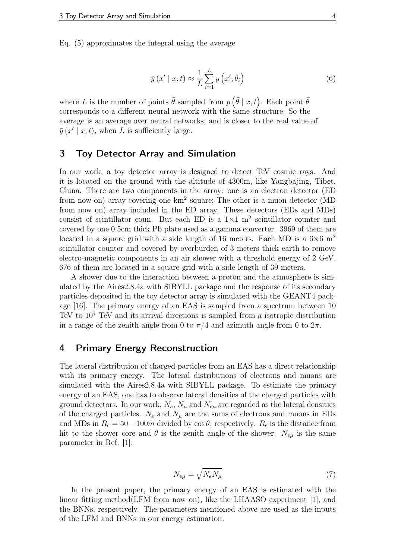Eq. (5) approximates the integral using the average

$$
\bar{y}(x' \mid x, t) \approx \frac{1}{L} \sum_{i=1}^{L} y\left(x', \bar{\theta}_i\right)
$$
\n<sup>(6)</sup>

where L is the number of points  $\bar{\theta}$  sampled from  $p\left(\bar{\theta} \mid x, t\right)$ . Each point  $\bar{\theta}$ corresponds to a different neural network with the same structure. So the average is an average over neural networks, and is closer to the real value of  $\bar{y}(x' | x, t)$ , when L is sufficiently large.

## 3 Toy Detector Array and Simulation

In our work, a toy detector array is designed to detect TeV cosmic rays. And it is located on the ground with the altitude of 4300m, like Yangbajing, Tibet, China. There are two components in the array: one is an electron detector (ED from now on) array covering one  $km^2$  square; The other is a muon detector (MD from now on) array included in the ED array. These detectors (EDs and MDs) consist of scintillator coun. But each ED is a  $1\times1$  m<sup>2</sup> scintillator counter and covered by one 0.5cm thick Pb plate used as a gamma converter. 3969 of them are located in a square grid with a side length of 16 meters. Each MD is a  $6\times6$  m<sup>2</sup> scintillator counter and covered by overburden of 3 meters thick earth to remove electro-magnetic components in an air shower with a threshold energy of 2 GeV. 676 of them are located in a square grid with a side length of 39 meters.

A shower due to the interaction between a proton and the atmosphere is simulated by the Aires2.8.4a with SIBYLL package and the response of its secondary particles deposited in the toy detector array is simulated with the GEANT4 package [16]. The primary energy of an EAS is sampled from a spectrum between 10 TeV to 10<sup>4</sup> TeV and its arrival directions is sampled from a isotropic distribution in a range of the zenith angle from 0 to  $\pi/4$  and azimuth angle from 0 to  $2\pi$ .

## 4 Primary Energy Reconstruction

The lateral distribution of charged particles from an EAS has a direct relationship with its primary energy. The lateral distributions of electrons and muons are simulated with the Aires2.8.4a with SIBYLL package. To estimate the primary energy of an EAS, one has to observe lateral densities of the charged particles with ground detectors. In our work,  $N_e$ ,  $N_\mu$  and  $N_{e\mu}$  are regarded as the lateral densities of the charged particles.  $N_e$  and  $N_u$  are the sums of electrons and muons in EDs and MDs in  $R_c = 50 - 100m$  divided by  $\cos \theta$ , respectively.  $R_c$  is the distance from hit to the shower core and  $\theta$  is the zenith angle of the shower.  $N_{eu}$  is the same parameter in Ref. [1]:

$$
N_{e\mu} = \sqrt{N_e N_\mu} \tag{7}
$$

In the present paper, the primary energy of an EAS is estimated with the linear fitting method(LFM from now on), like the LHAASO experiment [1], and the BNNs, respectively. The parameters mentioned above are used as the inputs of the LFM and BNNs in our energy estimation.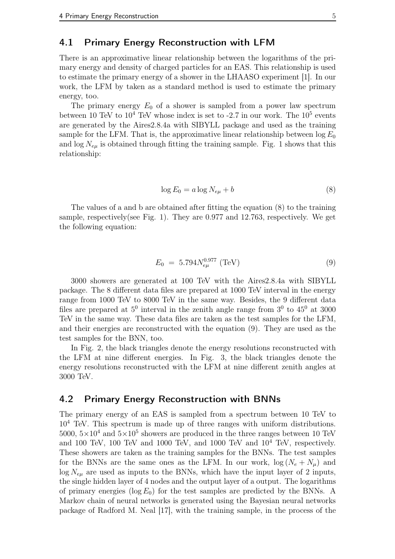#### 4.1 Primary Energy Reconstruction with LFM

There is an approximative linear relationship between the logarithms of the primary energy and density of charged particles for an EAS. This relationship is used to estimate the primary energy of a shower in the LHAASO experiment [1]. In our work, the LFM by taken as a standard method is used to estimate the primary energy, too.

The primary energy  $E_0$  of a shower is sampled from a power law spectrum between 10 TeV to  $10^4$  TeV whose index is set to  $-2.7$  in our work. The  $10^5$  events are generated by the Aires2.8.4a with SIBYLL package and used as the training sample for the LFM. That is, the approximative linear relationship between  $\log E_0$ and  $\log N_{e\mu}$  is obtained through fitting the training sample. Fig. 1 shows that this relationship:

$$
\log E_0 = a \log N_{e\mu} + b \tag{8}
$$

The values of a and b are obtained after fitting the equation (8) to the training sample, respectively(see Fig. 1). They are 0.977 and 12.763, respectively. We get the following equation:

$$
E_0 = 5.794 N_{e\mu}^{0.977} \text{ (TeV)} \tag{9}
$$

3000 showers are generated at 100 TeV with the Aires2.8.4a with SIBYLL package. The 8 different data files are prepared at 1000 TeV interval in the energy range from 1000 TeV to 8000 TeV in the same way. Besides, the 9 different data files are prepared at  $5^0$  interval in the zenith angle range from  $3^0$  to  $45^0$  at  $3000$ TeV in the same way. These data files are taken as the test samples for the LFM, and their energies are reconstructed with the equation (9). They are used as the test samples for the BNN, too.

In Fig. 2, the black triangles denote the energy resolutions reconstructed with the LFM at nine different energies. In Fig. 3, the black triangles denote the energy resolutions reconstructed with the LFM at nine different zenith angles at 3000 TeV.

#### 4.2 Primary Energy Reconstruction with BNNs

The primary energy of an EAS is sampled from a spectrum between 10 TeV to  $10<sup>4</sup>$  TeV. This spectrum is made up of three ranges with uniform distributions.  $5000, 5 \times 10^4$  and  $5 \times 10^5$  showers are produced in the three ranges between 10 TeV and 100 TeV, 100 TeV and 1000 TeV, and 1000 TeV and  $10^4$  TeV, respectively. These showers are taken as the training samples for the BNNs. The test samples for the BNNs are the same ones as the LFM. In our work,  $log(N_e + N_u)$  and  $\log N_{eu}$  are used as inputs to the BNNs, which have the input layer of 2 inputs, the single hidden layer of 4 nodes and the output layer of a output. The logarithms of primary energies ( $log E_0$ ) for the test samples are predicted by the BNNs. A Markov chain of neural networks is generated using the Bayesian neural networks package of Radford M. Neal [17], with the training sample, in the process of the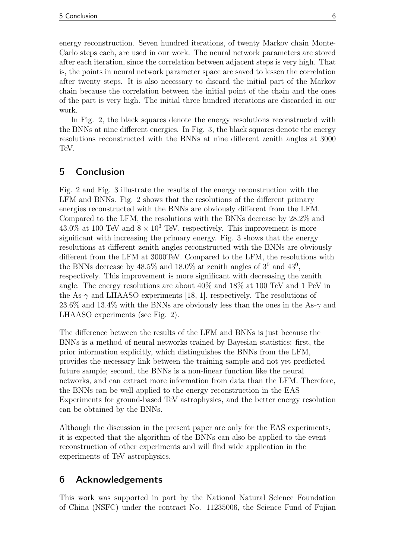energy reconstruction. Seven hundred iterations, of twenty Markov chain Monte-Carlo steps each, are used in our work. The neural network parameters are stored after each iteration, since the correlation between adjacent steps is very high. That is, the points in neural network parameter space are saved to lessen the correlation after twenty steps. It is also necessary to discard the initial part of the Markov chain because the correlation between the initial point of the chain and the ones of the part is very high. The initial three hundred iterations are discarded in our work.

In Fig. 2, the black squares denote the energy resolutions reconstructed with the BNNs at nine different energies. In Fig. 3, the black squares denote the energy resolutions reconstructed with the BNNs at nine different zenith angles at 3000 TeV.

# 5 Conclusion

Fig. 2 and Fig. 3 illustrate the results of the energy reconstruction with the LFM and BNNs. Fig. 2 shows that the resolutions of the different primary energies reconstructed with the BNNs are obviously different from the LFM. Compared to the LFM, the resolutions with the BNNs decrease by 28.2% and 43.0% at 100 TeV and  $8 \times 10^3$  TeV, respectively. This improvement is more significant with increasing the primary energy. Fig. 3 shows that the energy resolutions at different zenith angles reconstructed with the BNNs are obviously different from the LFM at 3000TeV. Compared to the LFM, the resolutions with the BNNs decrease by  $48.5\%$  and  $18.0\%$  at zenith angles of  $3^0$  and  $43^0$ , respectively. This improvement is more significant with decreasing the zenith angle. The energy resolutions are about 40% and 18% at 100 TeV and 1 PeV in the As- $\gamma$  and LHAASO experiments [18, 1], respectively. The resolutions of 23.6% and 13.4% with the BNNs are obviously less than the ones in the As- $\gamma$  and LHAASO experiments (see Fig. 2).

The difference between the results of the LFM and BNNs is just because the BNNs is a method of neural networks trained by Bayesian statistics: first, the prior information explicitly, which distinguishes the BNNs from the LFM, provides the necessary link between the training sample and not yet predicted future sample; second, the BNNs is a non-linear function like the neural networks, and can extract more information from data than the LFM. Therefore, the BNNs can be well applied to the energy reconstruction in the EAS Experiments for ground-based TeV astrophysics, and the better energy resolution can be obtained by the BNNs.

Although the discussion in the present paper are only for the EAS experiments, it is expected that the algorithm of the BNNs can also be applied to the event reconstruction of other experiments and will find wide application in the experiments of TeV astrophysics.

# 6 Acknowledgements

This work was supported in part by the National Natural Science Foundation of China (NSFC) under the contract No. 11235006, the Science Fund of Fujian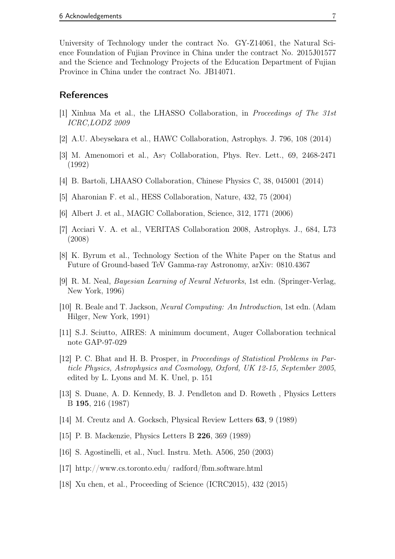University of Technology under the contract No. GY-Z14061, the Natural Science Foundation of Fujian Province in China under the contract No. 2015J01577 and the Science and Technology Projects of the Education Department of Fujian Province in China under the contract No. JB14071.

#### **References**

- [1] Xinhua Ma et al., the LHASSO Collaboration, in Proceedings of The 31st ICRC,LODZ 2009
- [2] A.U. Abeysekara et al., HAWC Collaboration, Astrophys. J. 796, 108 (2014)
- [3] M. Amenomori et al., Asγ Collaboration, Phys. Rev. Lett., 69, 2468-2471 (1992)
- [4] B. Bartoli, LHAASO Collaboration, Chinese Physics C, 38, 045001 (2014)
- [5] Aharonian F. et al., HESS Collaboration, Nature, 432, 75 (2004)
- [6] Albert J. et al., MAGIC Collaboration, Science, 312, 1771 (2006)
- [7] Acciari V. A. et al., VERITAS Collaboration 2008, Astrophys. J., 684, L73 (2008)
- [8] K. Byrum et al., Technology Section of the White Paper on the Status and Future of Ground-based TeV Gamma-ray Astronomy, arXiv: 0810.4367
- [9] R. M. Neal, Bayesian Learning of Neural Networks, 1st edn. (Springer-Verlag, New York, 1996)
- [10] R. Beale and T. Jackson, Neural Computing: An Introduction, 1st edn. (Adam Hilger, New York, 1991)
- [11] S.J. Sciutto, AIRES: A minimum document, Auger Collaboration technical note GAP-97-029
- [12] P. C. Bhat and H. B. Prosper, in Proceedings of Statistical Problems in Particle Physics, Astrophysics and Cosmology, Oxford, UK 12-15, September 2005, edited by L. Lyons and M. K. Unel, p. 151
- [13] S. Duane, A. D. Kennedy, B. J. Pendleton and D. Roweth , Physics Letters B 195, 216 (1987)
- [14] M. Creutz and A. Gocksch, Physical Review Letters 63, 9 (1989)
- [15] P. B. Mackenzie, Physics Letters B 226, 369 (1989)
- [16] S. Agostinelli, et al., Nucl. Instru. Meth. A506, 250 (2003)
- [17] http://www.cs.toronto.edu/ radford/fbm.software.html
- [18] Xu chen, et al., Proceeding of Science (ICRC2015), 432 (2015)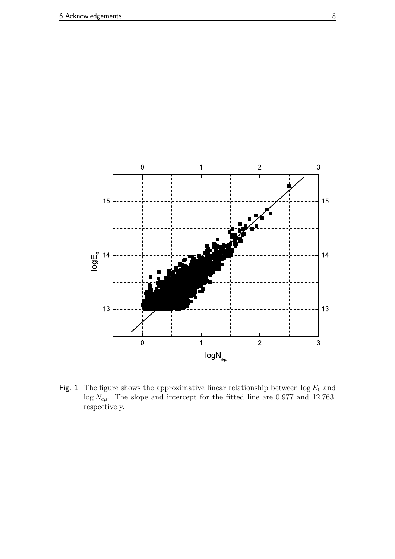

Fig. 1: The figure shows the approximative linear relationship between  $\log E_0$  and  $\log N_{e\mu}$ . The slope and intercept for the fitted line are 0.977 and 12.763, respectively.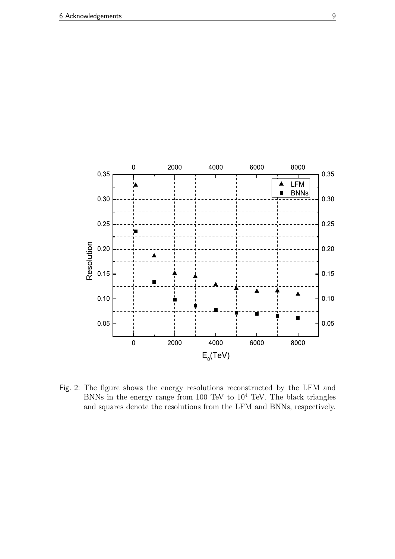

Fig. 2: The figure shows the energy resolutions reconstructed by the LFM and BNNs in the energy range from 100 TeV to  $10^4$  TeV. The black triangles and squares denote the resolutions from the LFM and BNNs, respectively.